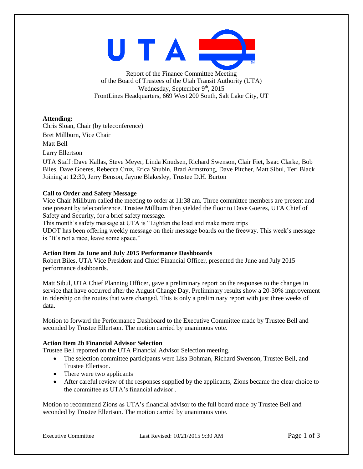

Report of the Finance Committee Meeting of the Board of Trustees of the Utah Transit Authority (UTA) Wednesday, September  $9<sup>th</sup>$ , 2015 FrontLines Headquarters, 669 West 200 South, Salt Lake City, UT

**Attending:**

Chris Sloan, Chair (by teleconference) Bret Millburn, Vice Chair Matt Bell Larry Ellertson

UTA Staff :Dave Kallas, Steve Meyer, Linda Knudsen, Richard Swenson, Clair Fiet, Isaac Clarke, Bob Biles, Dave Goeres, Rebecca Cruz, Erica Shubin, Brad Armstrong, Dave Pitcher, Matt Sibul, Teri Black Joining at 12:30, Jerry Benson, Jayme Blakesley, Trustee D.H. Burton

# **Call to Order and Safety Message**

Vice Chair Millburn called the meeting to order at 11:38 am. Three committee members are present and one present by teleconference. Trustee Millburn then yielded the floor to Dave Goeres, UTA Chief of Safety and Security, for a brief safety message.

This month's safety message at UTA is "Lighten the load and make more trips

UDOT has been offering weekly message on their message boards on the freeway. This week's message is "It's not a race, leave some space."

#### **Action Item 2a June and July 2015 Performance Dashboards**

Robert Biles, UTA Vice President and Chief Financial Officer, presented the June and July 2015 performance dashboards.

Matt Sibul, UTA Chief Planning Officer, gave a preliminary report on the responses to the changes in service that have occurred after the August Change Day. Preliminary results show a 20-30% improvement in ridership on the routes that were changed. This is only a preliminary report with just three weeks of data.

Motion to forward the Performance Dashboard to the Executive Committee made by Trustee Bell and seconded by Trustee Ellertson. The motion carried by unanimous vote.

# **Action Item 2b Financial Advisor Selection**

Trustee Bell reported on the UTA Financial Advisor Selection meeting.

- The selection committee participants were Lisa Bohman, Richard Swenson, Trustee Bell, and Trustee Ellertson.
- There were two applicants
- After careful review of the responses supplied by the applicants, Zions became the clear choice to the committee as UTA's financial advisor .

Motion to recommend Zions as UTA's financial advisor to the full board made by Trustee Bell and seconded by Trustee Ellertson. The motion carried by unanimous vote.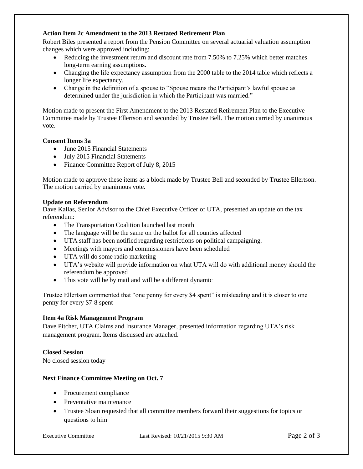#### **Action Item 2c Amendment to the 2013 Restated Retirement Plan**

Robert Biles presented a report from the Pension Committee on several actuarial valuation assumption changes which were approved including:

- Reducing the investment return and discount rate from 7.50% to 7.25% which better matches long-term earning assumptions.
- Changing the life expectancy assumption from the 2000 table to the 2014 table which reflects a longer life expectancy.
- Change in the definition of a spouse to "Spouse means the Participant's lawful spouse as determined under the jurisdiction in which the Participant was married."

Motion made to present the First Amendment to the 2013 Restated Retirement Plan to the Executive Committee made by Trustee Ellertson and seconded by Trustee Bell. The motion carried by unanimous vote.

#### **Consent Items 3a**

- June 2015 Financial Statements
- July 2015 Financial Statements
- Finance Committee Report of July 8, 2015

Motion made to approve these items as a block made by Trustee Bell and seconded by Trustee Ellertson. The motion carried by unanimous vote.

#### **Update on Referendum**

Dave Kallas, Senior Advisor to the Chief Executive Officer of UTA, presented an update on the tax referendum:

- The Transportation Coalition launched last month
- The language will be the same on the ballot for all counties affected
- UTA staff has been notified regarding restrictions on political campaigning.
- Meetings with mayors and commissioners have been scheduled
- UTA will do some radio marketing
- UTA's website will provide information on what UTA will do with additional money should the referendum be approved
- This vote will be by mail and will be a different dynamic

Trustee Ellertson commented that "one penny for every \$4 spent" is misleading and it is closer to one penny for every \$7-8 spent

#### **Item 4a Risk Management Program**

Dave Pitcher, UTA Claims and Insurance Manager, presented information regarding UTA's risk management program. Items discussed are attached.

#### **Closed Session**

No closed session today

#### **Next Finance Committee Meeting on Oct. 7**

- Procurement compliance
- Preventative maintenance
- Trustee Sloan requested that all committee members forward their suggestions for topics or questions to him